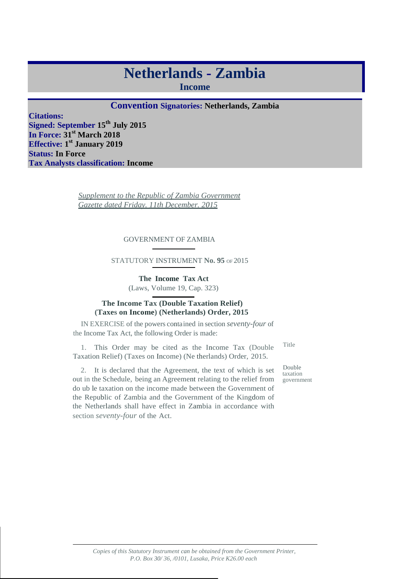# **Netherlands - Zambia**

**Income**

# **Convention Signatories: Netherlands, Zambia**

**Citations: Signed: September 15th July 2015 In Force: 31st March 2018 Effective: 1 st January 2019 Status: In Force Tax Analysts classification: Income**

> *Supplement to the Republic of Zambia Government Gazette dated Friday. 11th December. 2015*

# GOVERNMENT OF ZAMBIA

STATUTORY INSTRUMENT No. 95 OF 2015

**The Income Tax Act** (Laws, Volume 19, Cap. 323)

# **The Income Tax (Double Taxation Relief) (Taxes on Income) (Netherlands) Order, 2015**

IN EXERCISE of the powers contained in section *seventy-four* of the Income Tax Act, the following Order is made:

1. This Order may be cited as the Income Tax (Double Taxation Relief) (Taxes on Income) (Ne therlands) Order, 2015. Title

2. It is declared that the Agreement, the text of which is set out in the Schedule, being an Agreement relating to the relief from do ub le taxation on the income made between the Government of the Republic of Zambia and the Government of the Kingdom of the Netherlands shall have effect in Zambia in accordance with section *seventy-four* of the Act.

Double taxation government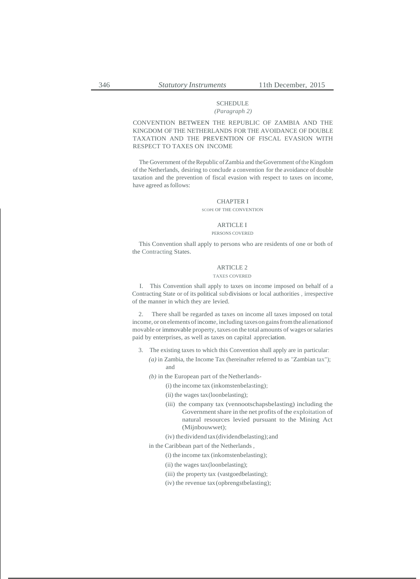## SCHEDULE *(Paragraph 2)*

CONVENTION BETWEEN THE REPUBLIC OF ZAMBIA AND THE KINGDOM OF THE NETHERLANDS FOR THE AVOIDANCE OF DOUBLE TAXATION AND THE PREVENTION OF FISCAL EVASION WITH RESPECT TO TAXES ON INCOME

The Government of the Republic of Zambia and the Government of the Kingdom of the Netherlands, desiring to conclude a convention for the avoidance of double taxation and the prevention of fiscal evasion with respect to taxes on income, have agreed as follows:

## CHAPTER I

#### SCOPE OF THE CONVENTION

# ARTICLE I

#### PERSONS COVERED

This Convention shall apply to persons who are residents of one or both of the Contracting States.

## ARTICLE 2

## TAXES COVERED

I. This Convention shall apply to taxes on income imposed on behalf of a Contracting State or of its political sub divisions or local authorities , irrespective of the manner in which they are levied.

2. There shall be regarded as taxes on income all taxes imposed on total income, or on elements ofincome, including taxesongainsfromthe alienationof movable or immovable property, taxes on the total amounts of wages orsalaries paid by enterprises, as well as taxes on capital appreciation.

- 3. The existing taxes to which this Convention shall apply are in particular: *(a)* in Zambia, the Income Tax (hereinafter referred to as "Zambian tax");
	- and
	- $(b)$  in the European part of the Netherlands-
		- (i) the income tax (inkomstenbelasting);
		- (ii) the wages tax(loonbelasting);
		- (iii) the company tax (vennootschapsbelasting) including the Government share in the net profits of the exploitation of natural resources levied pursuant to the Mining Act (Mijnbouwwet);
		- (iv) thedividend tax(dividendbelasting);and
	- in the Caribbean part of the Netherlands ,
		- (i) the income tax (inkomstenbelasting);
			- (ii) the wages tax(loonbelasting);
			- (iii) the property tax (vastgoedbelasting);
			- (iv) the revenue tax(opbrengstbelasting);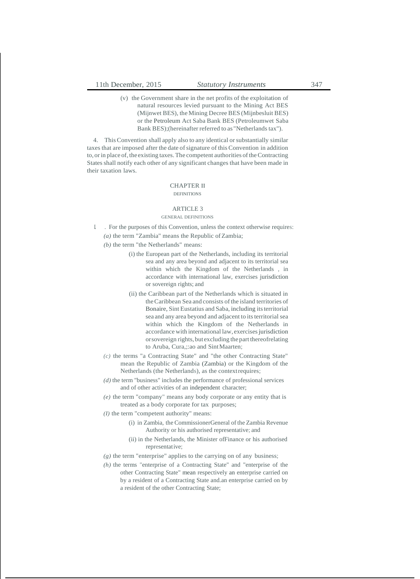(v) the Government share in the net profits of the exploitation of natural resources levied pursuant to the Mining Act BES (Mijnwet BES), the Mining Decree BES (Mijnbesluit BES) or the Petroleum Act Saba Bank BES (Petroleumwet Saba Bank BES);(hereinafter referred to as"Netherlands tax").

4. This Convention shall apply also to any identical orsubstantially similar taxes that are imposed after the date of signature of this Convention in addition to, or in place of, the existing taxes. The competent authorities of the Contracting States shall notify each other of any significant changes that have been made in their taxation laws.

## CHAPTER II

# DEFINITIONS

## ARTICLE 3

## GENERAL DEFINITIONS

- I. . For the purposes of this Convention, unless the context otherwise requires:  $(a)$  the term "Zambia" means the Republic of Zambia;
	- *(b)* the term "the Netherlands" means:
		- (i) the European part of the Netherlands, including its territorial sea and any area beyond and adjacent to its territorial sea within which the Kingdom of the Netherlands , in accordance with international law, exercises jurisdiction or sovereign rights; and
		- (ii) the Caribbean part of the Netherlands which is situated in the Caribbean Sea and consists of the island territories of Bonaire, Sint Eustatius and Saba, including its territorial sea and any area beyond and adjacent to its territorial sea within which the Kingdom of the Netherlands in accordance with international law, exercises jurisdiction orsovereign rights, but excluding thepart thereofrelating to Aruba, Cura,;:ao and SintMaarten;
	- *(c)* the terms "a Contracting State" and "the other Contracting State" mean the Republic of Zambia (Zambia) or the Kingdom of the Netherlands (the Netherlands), as the contextrequires;
	- *(d)* the term "business" includes the performance of professional services and of other activities of an independent character;
	- *(e)* the term "company" means any body corporate or any entity that is treated as a body corporate for tax purposes;
	- *(I)* the term "competent authority" means:
		- (i) in Zambia, the CommissionerGeneral of the Zambia Revenue Authority or his authorised representative; and
		- (ii) in the Netherlands, the Minister ofFinance or his authorised representative;
	- *(g)* the term "enterprise" applies to the carrying on of any business;
	- *(h)* the terms "enterprise of a Contracting State" and "enterprise of the other Contracting State" mean respectively an enterprise carried on by a resident of a Contracting State and.an enterprise carried on by a resident of the other Contracting State;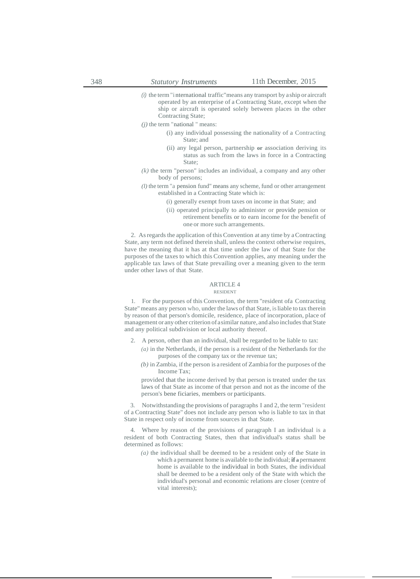- *(i)* the term"international traffic"means any transport by aship or aircraft operated by an enterprise of a Contracting State, except when the ship or aircraft is operated solely between places in the other Contracting State;
- *(j)* the term "national " means:
	- (i) any individual possessing the nationality of a Contracting State; and
	- (ii) any legal person, partnership **or** association deriving its status as such from the laws in force in a Contracting State;
- *(k)* the term "person" includes an individual, a company and any other body of persons;
- *(l)* the term "a pension fund" means any scheme, fund or other arrangement established in a Contracting State which is:
	- (i) generally exempt from taxes on income in that State; and
	- (ii) operated principally to administer or provide pension or retirement benefits or to earn income for the benefit of one or more such arrangements.

2. Asregards the application of this Convention at any time by aContracting State, any term not defined therein shall, unless the context otherwise requires, have the meaning that it has at that time under the law of that State for the purposes of the taxes to which this Convention applies, any meaning under the applicable tax laws of that State prevailing over a meaning given to the term under other laws of that State.

## ARTICLE 4

#### RESIDENT

1. For the purposes of this Convention, the term "resident ofa Contracting State"means any person who, under the laws of that State, isliable to tax therein by reason of that person's domicile, residence, place of incorporation, place of management or any other criterion of a similar nature, and also includes that State and any political subdivision or local authority thereof.

- 2. A person, other than an individual, shall be regarded to be liable to tax:
	- *(a)* in the Netherlands, if the person is a resident of the Netherlands for the purposes of the company tax or the revenue tax;
	- $(b)$  in Zambia, if the person is a resident of Zambia for the purposes of the Income Tax;

provided that the income derived by that person is treated under the tax laws of that State as income of that person and not as the income of the person's bene ficiaries, members or participants.

3. Notwithstanding the provisions of paragraphs I and 2, the term "resident of a Contracting State" does not include any person who is liable to tax in that State in respect only of income from sources in that State.

4. Where by reason of the provisions of paragraph I an individual is a resident of both Contracting States, then that individual's status shall be determined as follows:

*(a)* the individual shall be deemed to be a resident only of the State in which a permanent home is available to the individual; **if a** permanent home is available to the individual in both States, the individual shall be deemed to be a resident only of the State with which the individual's personal and economic relations are closer (centre of vital interests);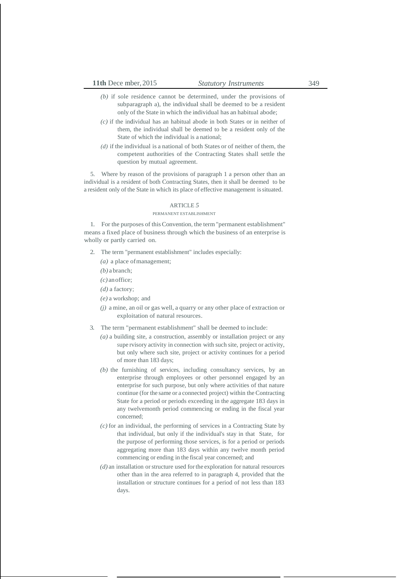- *(b)* if sole residence cannot be determined, under the provisions of subparagraph a), the individual shall be deemed to be a resident only of the State in which the individual has an habitual abode;
- *(c)* if the individual has an habitual abode in both States or in neither of them, the individual shall be deemed to be a resident only of the State of which the individual is a national;
- *(d)* if the individual is a national of both States or of neither of them, the competent authorities of the Contracting States shall settle the question by mutual agreement.

5. Where by reason of the provisions of paragraph 1 a person other than an individual is a resident of both Contracting States, then it shall be deemed to be a resident only of the State in which its place of effective management issituated.

#### ARTICLE 5

## PERMANENT ESTABLISHMENT

1. For the purposes of thisConvention, the term"permanent establishment" means a fixed place of business through which the business of an enterprise is wholly or partly carried on.

- 2. The term "permanent establishment" includes especially:
	- *(a)* a place ofmanagement;
	- *(b)* a branch;
	- *(c)* anoffice;
	- *(d)* a factory;
	- *(e)* a workshop; and
	- *(j)* a mine, an oil or gas well, a quarry or any other place of extraction or exploitation of natural resources.
- 3. The term "permanent establishment" shall be deemed to include:
	- *(a)* a building site, a construction, assembly or installation project or any supe rvisory activity in connection with such site, project or activity, but only where such site, project or activity continues for a period of more than 183 days;
	- *(b)* the furnishing of services, including consultancy services, by an enterprise through employees or other personnel engaged by an enterprise for such purpose, but only where activities of that nature continue (for the same or a connected project) within the Contracting State for a period or periods exceeding in the aggregate 183 days in any twelvemonth period commencing or ending in the fiscal year concerned;
	- *(c)* for an individual, the performing of services in a Contracting State by that individual, but only if the individual's stay in that State, for the purpose of performing those services, is for a period or periods aggregating more than 183 days within any twelve month period commencing or ending in the fiscal year concerned; and
	- *(d)* an installation orstructure used forthe exploration for natural resources other than in the area referred to in paragraph 4, provided that the installation or structure continues for a period of not less than 183 days.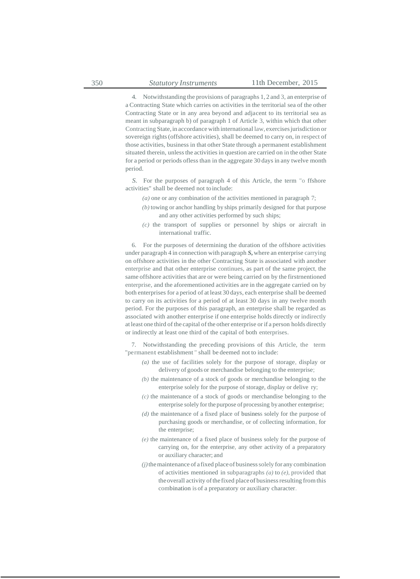4. Notwithstanding the provisions of paragraphs 1, 2 and 3, an enterprise of a Contracting State which carries on activities in the territorial sea of the other Contracting State or in any area beyond and adjacent to its territorial sea as meant in subparagraph b) of paragraph 1 of Article 3, within which that other Contracting State, in accordance with international law, exercises jurisdiction or sovereign rights (offshore activities), shall be deemed to carry on, in respect of those activities, business in that other State through a permanent establishment situated therein, unless the activities in question are carried on in the other State for a period or periods ofless than in the aggregate 30 days in any twelve month period.

*S.* For the purposes of paragraph 4 of this Article, the term "o ffshore activities" shall be deemed not toinclude:

- *(a)* one or any combination of the activities mentioned in paragraph 7;
- *(b)* towing or anchor handling by ships primarily designed for that purpose and any other activities performed by such ships;
- *(c)* the transport of supplies or personnel by ships or aircraft in international traffic.

6. For the purposes of determining the duration of the offshore activities under paragraph 4 in connection with paragraph *S,*where an enterprise carrying on offshore activities in the other Contracting State is associated with another enterprise and that other enterprise continues, as part of the same project, the same offshore activities that are or were being carried on by the firstrnentioned enterprise, and the aforementioned activities are in the aggregate carried on by both enterprises for a period of at least 30 days, each enterprise shall be deemed to carry on its activities for a period of at least 30 days in any twelve month period. For the purposes of this paragraph, an enterprise shall be regarded as associated with another enterprise if one enterprise holds directly or indirectly at least one third of the capital of the other enterprise or if a person holds directly or indirectly at least one third of the capital of both enterprises.

7. Notwithstanding the preceding provisions of this Article, the term "permanent establishment " shall be deemed not to include:

- *(a)* the use of facilities solely for the purpose of storage, display or delivery of goods or merchandise belonging to the enterprise;
- *(b)* the maintenance of a stock of goods or merchandise belonging to the enterprise solely for the purpose of storage, display or delive ry;
- *(c)* the maintenance of a stock of goods or merchandise belonging to the enterprise solely for the purpose of processing byanother enterprise;
- *(d)* the maintenance of a fixed place of business solely for the purpose of purchasing goods or merchandise, or of collecting information, for the enterprise;
- *(e)* the maintenance of a fixed place of business solely for the purpose of carrying on, for the enterprise, any other activity of a preparatory or auxiliary character; and
- $(i)$  the maintenance of a fixed place of business solely for any combination of activities mentioned in subparagraphs *(a)* to *(e),* provided that the overall activity of the fixed place of business resulting from this combination is of a preparatory or auxiliary character.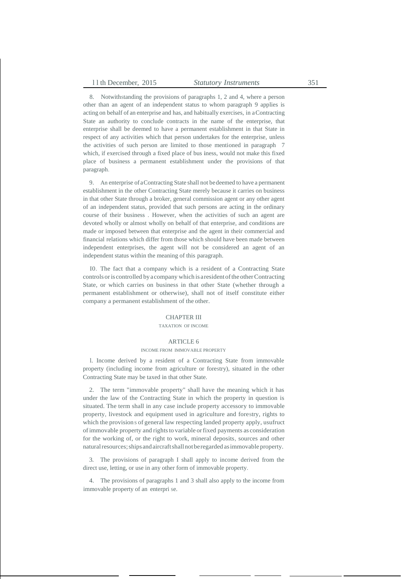8. Notwithstanding the provisions of paragraphs 1, 2 and 4, where a person other than an agent of an independent status to whom paragraph 9 applies is acting on behalf of an enterprise and has, and habitually exercises, in aContracting State an authority to conclude contracts in the name of the enterprise, that enterprise shall be deemed to have a permanent establishment in that State in respect of any activities which that person undertakes for the enterprise, unless the activities of such person are limited to those mentioned in paragraph 7 which, if exercised through a fixed place of bus iness, would not make this fixed place of business a permanent establishment under the provisions of that paragraph.

9. An enterprise of aContracting State shall not bedeemed to have a permanent establishment in the other Contracting State merely because it carries on business in that other State through a broker, general commission agent or any other agent of an independent status, provided that such persons are acting in the ordinary course of their business . However, when the activities of such an agent are devoted wholly or almost wholly on behalf of that enterprise, and conditions are made or imposed between that enterprise and the agent in their commercial and financial relations which differ from those which should have been made between independent enterprises, the agent will not be considered an agent of an independent status within the meaning of this paragraph.

I0. The fact that a company which is a resident of a Contracting State controls or is controlled by a company which is a resident of the other Contracting State, or which carries on business in that other State (whether through a permanent establishment or otherwise), shall not of itself constitute either company a permanent establishment of the other.

## CHAPTER III

#### TAXATION OF INCOME

## ARTICLE 6

## INCOME FROM IMMOVABLE PROPERTY

l. Income derived by a resident of a Contracting State from immovable property (including income from agriculture or forestry), situated in the other Contracting State may be taxed in that other State.

2. The term "immovable property" shall have the meaning which it has under the law of the Contracting State in which the property in question is situated. The term shall in any case include property accessory to immovable property, livestock and equipment used in agriculture and forestry, rights to which the provisions of general law respecting landed property apply, usufruct of immovable property and rights to variable or fixed payments as consideration for the working of, or the right to work, mineral deposits, sources and other natural resources; ships and aircraft shall not be regarded as immovable property.

3. The provisions of paragraph I shall apply to income derived from the direct use, letting, or use in any other form of immovable property.

4. The provisions of paragraphs 1 and 3 shall also apply to the income from immovable property of an enterpri se.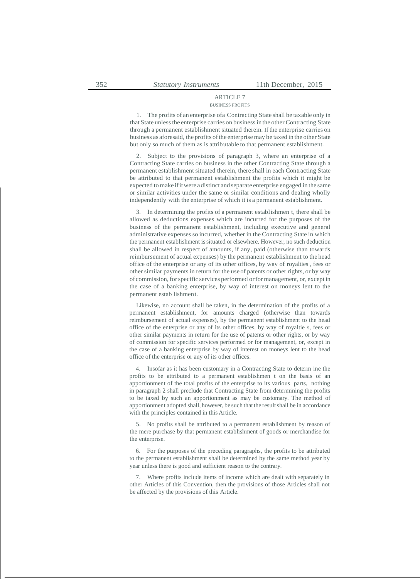#### ARTICLE 7 BUSINESS PROFITS

1. The profits of an enterprise ofa Contracting State shall be taxable only in that State unless the enterprise carries on business in the other Contracting State through a permanent establishment situated therein. If the enterprise carries on business as aforesaid, the profits of the enterprise may be taxed in the other State but only so much of them as is attributable to that permanent establishment.

2. Subject to the provisions of paragraph 3, where an enterprise of a Contracting State carries on business in the other Contracting State through a permanent establishment situated therein, there shall in each Contracting State be attributed to that permanent establishment the profits which it might be expected to make ifitwere adistinct and separate enterprise engaged in the same or similar activities under the same or similar conditions and dealing wholly independently with the enterprise of which it is a permanent establishment.

3. In determining the profits of a permanent establishmen t, there shall be allowed as deductions expenses which are incurred for the purposes of the business of the permanent establishment, including executive and general administrative expenses so incurred, whether in the Contracting State in which the permanent establishment issituated or elsewhere. However, no such deduction shall be allowed in respect of amounts, if any, paid (otherwise than towards reimbursement of actual expenses) by the permanent establishment to the head office of the enterprise or any of its other offices, by way of royalties , fees or other similar payments in return for the use of patents or other rights, or by way of commission, forspecific services performed orfor management, or, except in the case of a banking enterprise, by way of interest on moneys lent to the permanent estab lishment.

Likewise, no account shall be taken, in the determination of the profits of a permanent establishment, for amounts charged (otherwise than towards reimbursement of actual expenses), by the permanent establishment to the head office of the enterprise or any of its other offices, by way of royaltie s, fees or other similar payments in return for the use of patents or other rights, or by way of commission for specific services performed or for management, or, except in the case of a banking enterprise by way of interest on moneys lent to the head office of the enterprise or any of its other offices.

4. Insofar as it has been customary in a Contracting State to determ ine the profits to be attributed to a permanent establishmen t on the basis of an apportionment of the total profits of the enterprise to its various parts, nothing in paragraph 2 shall preclude that Contracting State from determining the profits to be taxed by such an apportionment as may be customary. The method of apportionment adopted shall, however, be such that the result shall be in accordance with the principles contained in this Article.

5. No profits shall be attributed to a permanent establishment by reason of the mere purchase by that permanent establishment of goods or merchandise for the enterprise.

6. For the purposes of the preceding paragraphs, the profits to be attributed to the permanent establishment shall be determined by the same method year by year unless there is good and sufficient reason to the contrary.

7. Where profits include items of income which are dealt with separately in other Articles of this Convention, then the provisions of those Articles shall not be affected by the provisions of this Article.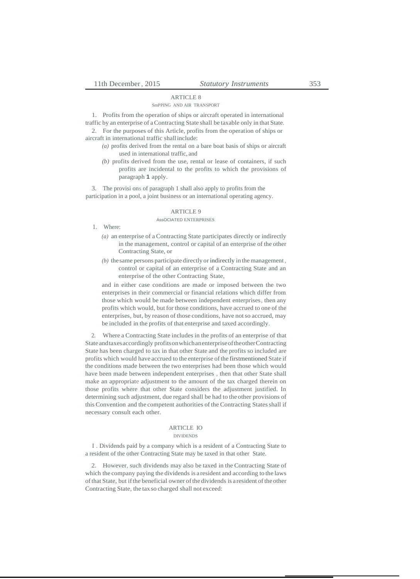#### ARTICLE 8

#### SmPPING AND AIR TRANSPORT

1. Profits from the operation of ships or aircraft operated in international traffic by an enterprise of aContracting State shall be taxable only in that State.

2. For the purposes of this Article, profits from the operation of ships or aircraft in international traffic shallinclude:

- *(a)* profits derived from the rental on a bare boat basis of ships or aircraft used in international traffic, and
- *(b)* profits derived from the use, rental or lease of containers, if such profits are incidental to the profits to which the provisions of paragraph **1** apply.

3. The provisi ons of paragraph 1 shall also apply to profits from the participation in a pool, a joint business or an international operating agency.

## ARTICLE 9

#### AssOCIATED ENTERPRISES

1. Where:

- *(a)* an enterprise of a Contracting State participates directly or indirectly in the management, control or capital of an enterprise of the other Contracting State, or
- *(b)* the same persons participate directly or indirectly in the management, control or capital of an enterprise of a Contracting State and an enterprise of the other Contracting State,

and in either case conditions are made or imposed between the two enterprises in their commercial or financial relations which differ from those which would be made between independent enterprises, then any profits which would, but for those conditions, have accrued to one of the enterprises, but, by reason of those conditions, have notso accrued, may be included in the profits of that enterprise and taxed accordingly.

2. Where a Contracting State includes in the profits of an enterprise of that State andtaxesaccordingly profitsonwhichanenterpriseoftheotherContracting State has been charged to tax in that other State and the profits so included are profits which would have accrued to the enterprise of the firstmentioned State if the conditions made between the two enterprises had been those which would have been made between independent enterprises , then that other State shall make an appropriate adjustment to the amount of the tax charged therein on those profits where that other State considers the adjustment justified. In determining such adjustment, due regard shall be had to the other provisions of this Convention and the competent authorities of the Contracting Statesshall if necessary consult each other.

#### ARTICLE IO

#### DIVIDENDS

I . Dividends paid by a company which is a resident of a Contracting State to a resident of the other Contracting State may be taxed in that other State.

2. However, such dividends may also be taxed in the Contracting State of which the company paying the dividends is a resident and according to the laws of that State, but if the beneficial owner of the dividends is a resident of the other Contracting State, the tax so charged shall not exceed: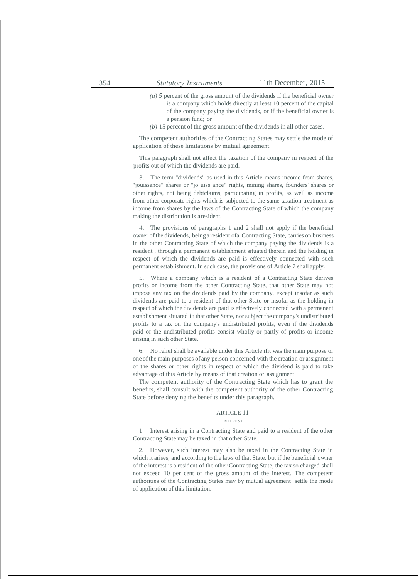- *(a) 5* percent of the gross amount of the dividends if the beneficial owner is a company which holds directly at least 10 percent of the capital of the company paying the dividends, or if the beneficial owner is a pension fund; or
- *(b)* 15 percent of the gross amount of the dividends in all other cases.

The competent authorities of the Contracting States may settle the mode of application of these limitations by mutual agreement.

This paragraph shall not affect the taxation of the company in respect of the profits out of which the dividends are paid.

3. The term "dividends" as used in this Article means income from shares, "jouissance" shares or "jo uiss ance" rights, mining shares, founders' shares or other rights, not being debtclaims, participating in profits, as well as income from other corporate rights which is subjected to the same taxation treatment as income from shares by the laws of the Contracting State of which the company making the distribution is aresident.

4. The provisions of paragraphs 1 and 2 shall not apply if the beneficial owner ofthe dividends, being a resident ofa Contracting State, carries on business in the other Contracting State of which the company paying the dividends is a resident , through a permanent establishment situated therein and the holding in respect of which the dividends are paid is effectively connected with such permanent establishment. In such case, the provisions of Article 7 shall apply.

5. Where a company which is a resident of a Contracting State derives profits or income from the other Contracting State, that other State may not impose any tax on the dividends paid by the company, except insofar as such dividends are paid to a resident of that other State or insofar as the holding in respect of which the dividends are paid is effectively connected with a permanent establishment situated in that other State, norsubject the company's undistributed profits to a tax on the company's undistributed profits, even if the dividends paid or the undistributed profits consist wholly or partly of profits or income arising in such other State.

6. No relief shall be available under this Article ifit was the main purpose or one ofthe main purposes of any person concerned with the creation or assignment of the shares or other rights in respect of which the dividend is paid to take advantage of this Article by means of that creation or assignment.

The competent authority of the Contracting State which has to grant the benefits, shall consult with the competent authority of the other Contracting State before denying the benefits under this paragraph.

# ARTICLE 11

## INTEREST

1. Interest arising in a Contracting State and paid to a resident of the other Contracting State may be taxed in that other State.

2. However, such interest may also be taxed in the Contracting State in which it arises, and according to the laws of that State, but if the beneficial owner of the interest is a resident of the other Contracting State, the tax so charged shall not exceed 10 per cent of the gross amount of the interest. The competent authorities of the Contracting States may by mutual agreement settle the mode of application of this limitation.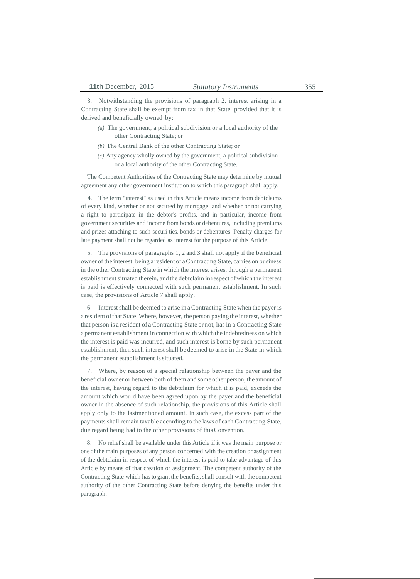3. Notwithstanding the provisions of paragraph 2, interest arising in a Contracting State shall be exempt from tax in that State, provided that it is derived and beneficially owned by:

- *(a)* The government, a political subdivision or a local authority of the other Contracting State; or
- *(b)* The Central Bank of the other Contracting State; or
- *(c)* Any agency wholly owned by the government, a political subdivision or a local authority of the other Contracting State.

The Competent Authorities of the Contracting State may determine by mutual agreement any other government institution to which this paragraph shall apply.

4. The term "interest" as used in this Article means income from debtclaims of every kind, whether or not secured by mortgage and whether or not carrying a right to participate in the debtor's profits, and in particular, income from government securities and income from bonds or debentures, including premiums and prizes attaching to such securi ties, bonds or debentures. Penalty charges for late payment shall not be regarded as interest for the purpose of this Article.

5. The provisions of paragraphs 1, 2 and 3 shall not apply if the beneficial owner of the interest, being a resident of aContracting State, carries on business in the other Contracting State in which the interest arises, through a permanent establishment situated therein, and the debtclaim in respect of which the interest is paid is effectively connected with such permanent establishment. In such case, the provisions of Article 7 shall apply.

6. Interest shall be deemed to arise in aContracting State when the payer is a resident of that State. Where, however, the person paying the interest, whether that person is a resident of a Contracting State or not, has in a Contracting State a permanent establishment in connection with which the indebtedness on which the interest is paid was incurred, and such interest is borne by such permanent establishment, then such interest shall be deemed to arise in the State in which the permanent establishment is situated.

7. Where, by reason of a special relationship between the payer and the beneficial owner or between both of them and some other person, the amount of the interest, having regard to the debtclaim for which it is paid, exceeds the amount which would have been agreed upon by the payer and the beneficial owner in the absence of such relationship, the provisions of this Article shall apply only to the lastmentioned amount. In such case, the excess part of the payments shall remain taxable according to the laws of each Contracting State, due regard being had to the other provisions of thisConvention.

8. No relief shall be available under this Article if it was the main purpose or one of the main purposes of any person concerned with the creation or assignment of the debtclaim in respect of which the interest is paid to take advantage of this Article by means of that creation or assignment. The competent authority of the Contracting State which hasto grant the benefits, shall consult with the competent authority of the other Contracting State before denying the benefits under this paragraph.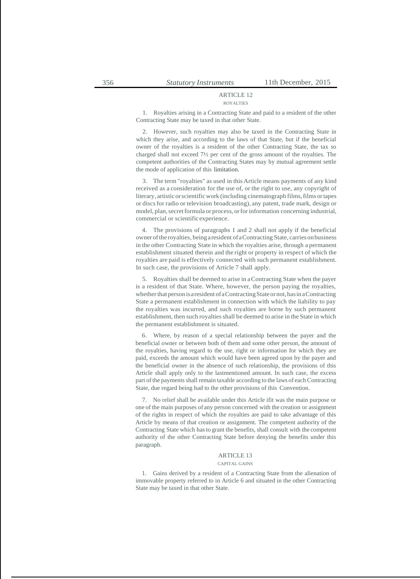## ARTICLE 12 ROYALTIES

1. Royalties arising in a Contracting State and paid to a resident of the other Contracting State may be taxed in that other State.

2. However, such royalties may also be taxed in the Contracting State in which they arise, and according to the laws of that State, but if the beneficial owner of the royalties is a resident of the other Contracting State, the tax so charged shall not exceed 7½ per cent of the gross amount of the royalties. The competent authorities of the Contracting States may by mutual agreement settle the mode of application of this limitation.

3. The term "royalties" as used in this Article means payments of any kind received as a consideration for the use of, or the right to use, any copyright of literary, artistic or scientific work (including cinematograph films, films or tapes or discsfor radio or television broadcasting), any patent, trade mark, design or model, plan, secret formula or process, or for information concerning industrial, commercial or scientificexperience.

4. The provisions of paragraphs 1 and 2 shall not apply if the beneficial owner ofthe royalties, beingaresident ofaContracting State, carriesonbusiness in the other Contracting State in which the royalties arise, through a permanent establishment situated therein and the right or property in respect of which the royalties are paid is effectively connected with such permanent establishment. In such case, the provisions of Article 7 shall apply.

5. Royalties shall be deemed to arise in aContracting State when the payer is a resident of that State. Where, however, the person paying the royalties, whether that person is a resident of a Contracting State or not, has in a Contracting State a permanent establishment in connection with which the liability to pay the royalties was incurred, and such royalties are borne by such permanent establishment, then such royalties shall be deemed to arise in the State in which the permanent establishment is situated.

6. Where, by reason of a special relationship between the payer and the beneficial owner or between both of them and some other person, the amount of the royalties, having regard to the use, right or information for which they are paid, exceeds the amount which would have been agreed upon by the payer and the beneficial owner in the absence of such relationship, the provisions of this Article shall apply only to the lastmentioned amount. In such case, the excess part of the payments shall remain taxable according to the laws of each Contracting State, due regard being had to the other provisions of this Convention.

7. No relief shall be available under this Article ifit was the main purpose or one of the main purposes of any person concerned with the creation or assignment of the rights in respect of which the royalties are paid to take advantage of this Article by means of that creation or assignment. The competent authority of the Contracting State which hasto grant the benefits, shall consult with the competent authority of the other Contracting State before denying the benefits under this paragraph.

#### ARTICLE 13 CAPITAL GAINS

1. Gains derived by a resident of a Contracting State from the alienation of immovable property referred to in Article 6 and situated in the other Contracting State may be taxed in that other State.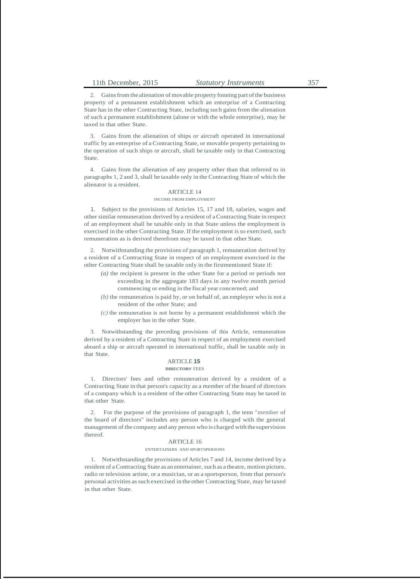2. Gains from the alienation of movable property fonning part of the business property of a pennanent establishment which an enterprise of a Contracting State has in the other Contracting State, including such gains from the alienation of such a permanent establishment (alone or with the whole enterprise), may be taxed in that other State.

3. Gains from the alienation of ships or aircraft operated in international traffic by an enterprise of a Contracting State, or movable property pertaining to the operation of such ships or aircraft, shall be taxable only in that Contracting State.

4. Gains from the alienation of any property other than that referred to in paragraphs 1, 2 and 3, shall be taxable only in the Contracting State of which the alienator is a resident.

#### ARTICLE 14 INCOME FROM EMPLOYMENT

1. Subject to the provisions of Articles 15, 17 and 18, salaries, wages and other similar remuneration derived by a resident of a Contracting State in respect of an employment shall be taxable only in that State unless the employment is exercised in the other Contracting State. If the employment is so exercised, such remuneration as is derived therefrom may be taxed in that other State.

2. Notwithstanding the provisions of paragraph 1, remuneration derived by a resident of a Contracting State in respect of an employment exercised in the other Contracting State shall be taxable only in the firstmentioned State if:

- *(a)* the recipient is present in the other State for a period or periods not exceeding in the aggregate 183 days in any twelve month period commencing or ending in the fiscal year concerned; and
- *(b)* the remuneration is paid by, or on behalf of, an employer who is not a resident of the other State; and
- *(c)* the remuneration is not borne by a permanent establishment which the employer has in the other State.

3. Notwithstanding the preceding provisions of this Article, remuneration derived by a resident of a Contracting State in respect of an employment exercised aboard a ship or aircraft operated in international traffic, shall be taxable only in that State.

#### ARTICLE **15 DIRECTORS'** FEES

1. Directors' fees and other remuneration derived by a resident of a Contracting State in that person's capacity as a member of the board of directors of a company which is a resident of the other Contracting State may be taxed in that other State.

2. For the purpose of the provisions of paragraph 1, the tenn "member of the board of directors" includes any person who is charged with the general management of the company and any person who is charged with the supervision thereof.

## ARTICLE 16

## ENTERTAINERS AND SPORTSPERSONS

1. Notwithstanding the provisions of Articles 7 and 14, income derived by a resident of aContracting State as an entertainer, such as a theatre, motion picture, radio or television artiste, or a musician, or as a sportsperson, from that person's personal activities assuch exercised in the other Contracting State, may be taxed in that other State.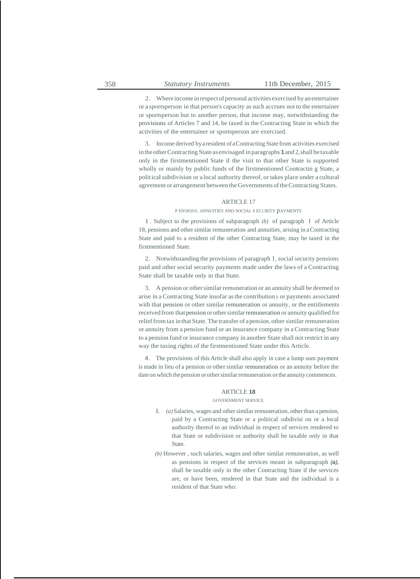2. Where income inrespectofpersonal activities exercised byanentertainer or a sportsperson in that person's capacity assuch accrues not to the entertainer or sportsperson but to another person, that income may, notwithstanding the provisions of Articles 7 and 14, be taxed in the Contracting State in which the activities of the entertainer or sportsperson are exercised.

3. Income derived bya resident of aContracting State from activities exercised in theotherContracting State asenvisaged in paragraphs **1**and 2,shall betaxable only in the firstmentioned State if the visit to that other State is supported wholly or mainly by public funds of the firstmentioned Contractin g State, a political subdivision or a local authority thereof, or takes place under a cultural agreement or arrangement between the Governments of the Contracting States.

## ARTICLE 17

## P ENSIONS, ANNUITIES AND SOCIAL S ECURITY pAYMENTS

I . Subject to the provisions of subparagraph *(b)* of paragraph I of Article 18, pensions and other similar remuneration and annuities, arising in a Contracting State and paid to a resident of the other Contracting State, may be taxed in the firstmentioned State.

2. Notwithstanding the provisions of paragraph l, social security pensions paid and other social security payments made under the laws of a Contracting State shall be taxable only in that State.

3. A pension or other similar remuneration or an annuity shall be deemed to arise in a Contracting State insofar asthe contribution s or payments associated with that pension or other similar remuneration or annuity, or the entitlements received from thatpension orothersimilarremuneration or annuity qualified for relief from tax in that State. The transfer of a pension, other similar remuneration or annuity from a pension fund or an insurance company in a Contracting State to a pension fund or insurance company in another State shall not restrict in any way the taxing rights of the firstmentioned State under this Article.

4. The provisions of this Article shall also apply in case a lump sum payment is made in lieu of a pension or other similar remuneration or an annuity before the date on which the pension or other similar remuneration or the annuity commences.

#### ARTICLE **18**

## GOVERNMENT SERVICE

- I. *(a)* Salaries, wages and other similar remuneration, other than a pension, paid by a Contracting State or a political subdivisi on or a local authority thereof to an individual in respect of services rendered to that State or subdivision or authority shall be taxable only in that State.
- *(b)* However , such salaries, wages and other similar remuneration, as well as pensions in respect of the services meant in subparagraph *(a),* shall be taxable only in the other Contracting State if the services are, or have been, rendered in that State and the individual is a resident of that State who: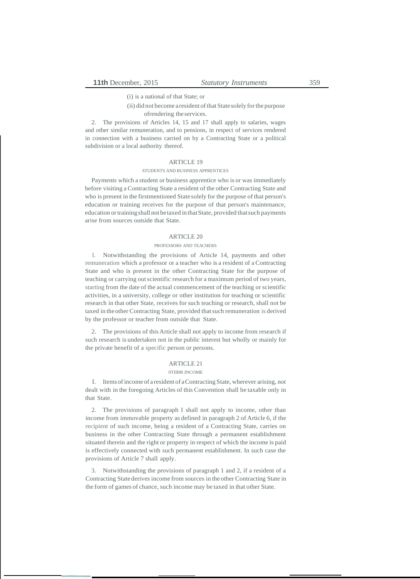## (i) is a national of that State; or

(ii) did not become a resident of that State solely for the purpose ofrendering the services.

2. The provisions of Articles 14, 15 and 17 shall apply to salaries, wages and other similar remuneration, and to pensions, in respect of services rendered in connection with a business carried on by a Contracting State or a political subdivision or a local authority thereof.

## ARTICLE 19

## STUDENTS AND BUSINESS APPRENTICES

Payments which a student or business apprentice who is or was immediately before visiting a Contracting State a resident of the other Contracting State and who is present in the firstmentioned State solely for the purpose of that person's education or training receives for the purpose of that person's maintenance, education or training shall not be taxed in that State, provided that such payments arise from sources outside that State.

#### ARTICLE 20

## PROFESSORS AND TEACHERS

I. Notwithstanding the provisions of Article 14, payments and other remuneration which a professor or a teacher who is a resident of a Contracting State and who is present in the other Contracting State for the purpose of teaching or carrying outscientific research for a maximum period of two years, starting from the date of the actual commencement of the teaching or scientific activities, in a university, college or other institution for teaching or scientific research in that other State, receives for such teaching or research, shall not be taxed in theother Contracting State, provided thatsuch remuneration is derived by the professor or teacher from outside that State.

2. The provisions of thisArticle shall not apply to income from research if such research is undertaken not in the public interest but wholly or mainly for the private benefit of a specific person or persons.

## ARTICLE 21

#### 0TIIBR INCOME

I. Itemsofincome of a resident of aContracting State, wherever arising, not dealt with in the foregoing Articles of this Convention shall be taxable only in that State.

2. The provisions of paragraph I shall not apply to income, other than income from immovable property as defined in paragraph 2 of Article 6, if the recipient of such income, being a resident of a Contracting State, carries on business in the other Contracting State through a permanent establishment situated therein and the right or property in respect of which the income is paid is effectively connected with such permanent establishment. In such case the provisions of Article 7 shall apply.

3. Notwithstanding the provisions of paragraph 1 and 2, if a resident of a Contracting State derives income from sources in theother Contracting State in the form of games of chance, such income may be taxed in that other State.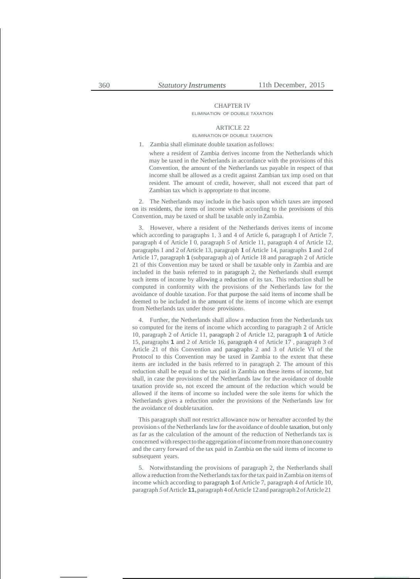# CHAPTER IV

#### ELIMINATION OF DOUBLE TAXATION

#### ARTICLE 22

ELIMINATION OF DOUBLE TAXATION

1. Zambia shall eliminate double taxation asfollows:

where a resident of Zambia derives income from the Netherlands which may be taxed in the Netherlands in accordance with the provisions of this Convention, the amount of the Netherlands tax payable in respect of that income shall be allowed as a credit against Zambian tax imp osed on that resident. The amount of credit, however, shall not exceed that part of Zambian tax which is appropriate to that income.

2. The Netherlands may include in the basis upon which taxes are imposed on its residents, the items of income which according to the provisions of this Convention, may be taxed or shall be taxable only inZambia.

3. However, where a resident of the Netherlands derives items of income which according to paragraphs 1, 3 and 4 of Article 6, paragraph I of Article 7, paragraph 4 of Article I 0, paragraph *5* of Article 11, paragraph 4 of Article 12, paragraphs I and 2 of Article 13, paragraph 1 of Article 14, paragraphs 1 and 2 of Article 17, paragraph **1** (subparagraph a) of Article 18 and paragraph 2 of Article 21 of this Convention may be taxed or shall be taxable only in Zambia and are included in the basis referred to in paragraph 2, the Netherlands shall exempt such items of income by allowing a reduction of its tax. This reduction shall be computed in conformity with the provisions of the Netherlands law for the avoidance of double taxation. For that purpose the said items of income shall be deemed to be included in the amount of the items of income which are exempt from Netherlands tax under those provisions.

4. Further, the Netherlands shall allow a reduction from the Netherlands tax so computed for the items of income which according to paragraph 2 of Article 10, paragraph 2 of Article 11, paragraph 2 of Article 12, paragraph **1** of Article 15, paragraphs **1** and 2 of Article 16, paragraph 4 of Article 17 , paragraph 3 of Article 21 of this Convention and paragraphs 2 and 3 of Article VI of the Protocol to this Convention may be taxed in Zambia to the extent that these items are included in the basis referred to in paragraph 2. The amount of this reduction shall be equal to the tax paid in Zambia on these items of income, but shall, in case the provisions of the Netherlands law for the avoidance of double taxation provide so, not exceed the amount of the reduction which would be allowed if the items of income so included were the sole items for which the Netherlands gives a reduction under the provisions of the Netherlands law for the avoidance of double taxation.

This paragraph shall not restrict allowance now or hereafter accorded by the provisions of the Netherlands law for the avoidance of double taxation, but only as far as the calculation of the amount of the reduction of Netherlands tax is concerned with respect to the aggregation of income from more than one country and the carry forward of the tax paid in Zambia on the said items of income to subsequent years.

5. Notwithstanding the provisions of paragraph 2, the Netherlands shall allow a reduction from the Netherlands tax for the tax paid in Zambia on items of income which according to paragraph **1** of Article 7, paragraph 4 of Article 10, paragraph *5*ofArticle **11,**paragraph 4ofArticle 12and paragraph 2ofArticle21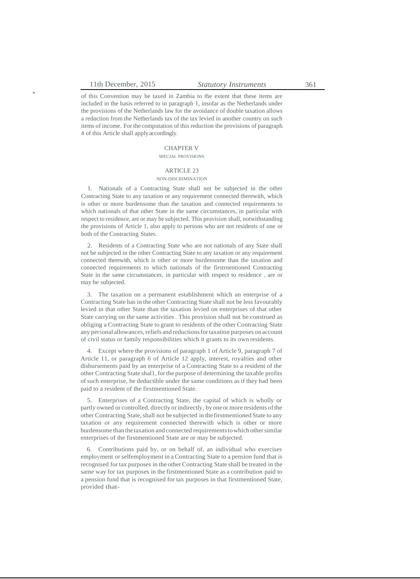•

of this Convention may be taxed in Zambia to the extent that these items are included in the basis referred to in paragraph 1, insofar as the Netherlands under the provisions of the Netherlands law for the avoidance of double taxation allows a reduction from the Netherlands tax of the tax levied in another country on such items of income. For the computation of this reduction the provisions of paragraph 4 of this Article shall applyaccordingly.

## CHAPTER V

## SPECIAL PROVISIONS

#### ARTICLE 23 NON-DISCRIMINATION

1. Nationals of a Contracting State shall not be subjected in the other Contracting State to any taxation or any requirement connected therewith, which is other or more burdensome than the taxation and connected requirements to which nationals of that other State in the same circumstances, in particular with respect to residence, are or may be subjected. This provision shall, notwithstanding the provisions of Article 1, also apply to persons who are not residents of one or both of the Contracting States.

2. Residents of a Contracting State who are not nationals of any State shall not be subjected in the other Contracting State to any taxation or any requirement connected therewith, which is other or more burdensome than the taxation and connected requirements to which nationals of the firstrnentioned Contracting State in the same circumstances, in particular with respect to residence , are or may be subjected.

3. The taxation on a permanent establishment which an enterprise of a Contracting State has in the other Contracting State shall not be less favourably levied in that other State than the taxation levied on enterprises of that other State carrying on the same activities. This provision shall not be construed as obliging a Contracting State to grant to residents of the other Contracting State any personal allowances, reliefs and reductionsfortaxation purposes on account of civil status or family responsibilities which it grants to its own residents.

4. Except where the provisions of paragraph 1 of Article 9, paragraph 7 of Article 11, or paragraph 6 of Article 12 apply, interest, royalties and other disbursements paid by an enterprise of a Contracting State to a resident of the other Contracting State shal1, for the purpose of determining the taxable profits ofsuch enterprise, be deductible under the same conditions as if they had been paid to a resident of the firstmentioned State.

5. Enterprises of a Contracting State, the capital of which is wholly or partly owned or controlled, directly or indirectly, by one or more residents of the other Contracting State, shall not be subjected in the firstmentioned State to any taxation or any requirement connected therewith which is other or more burdensome than the taxation and connected requirements to which other similar enterprises of the firstmentioned State are or may be subjected.

6. Contributions paid by, or on behalf of, an individual who exercises employment or selfemployment in a Contracting State to a pension fund that is recognised for tax purposes in the other Contracting State shall be treated in the same way for tax purposes in the firstmentioned State as a contribution paid to a pension fund that is recognised for tax purposes in that firstmentioned State, provided that-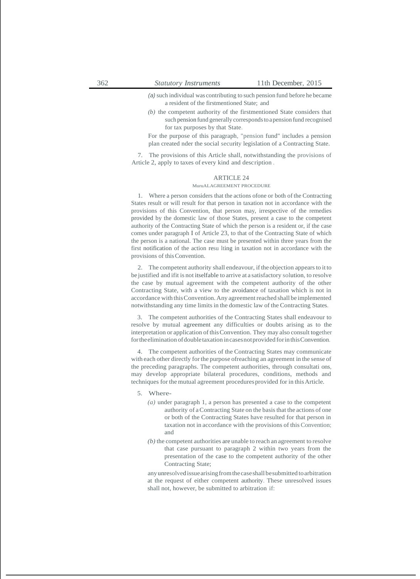- *(a)* such individual was contributing to such pension fund before he became a resident of the firstmentioned State; and
- *(b)* the competent authority of the firstmentioned State considers that such pension fund generally corresponds to a pension fund recognised for tax purposes by that State.

For the purpose of this paragraph, "pension fund" includes a pension plan created nder the social security legislation of a Contracting State.

7. The provisions of this Article shall, notwithstanding the provisions of Article 2, apply to taxes of every kind and description .

## ARTICLE 24

## MuruALAGREEMENT PROCEDURE

1. Where a person considers that the actions ofone or both of the Contracting States result or will result for that person in taxation not in accordance with the provisions of this Convention, that person may, irrespective of the remedies provided by the domestic law of those States, present a case to the competent authority of the Contracting State of which the person is a resident or, if the case comes under paragraph I of Article 23, to that of the Contracting State of which the person is a national. The case must be presented within three years from the first notification of the action resu lting in taxation not in accordance with the provisions of thisConvention.

2. The competent authority shall endeavour, if the objection appears to it to be justified and ifit is not itselfable to arrive at a satisfactory solution, to resolve the case by mutual agreement with the competent authority of the other Contracting State, with a view to the avoidance of taxation which is not in accordance with thisConvention. Any agreementreached shall be implemented notwithstanding any time limits in the domestic law of the Contracting States.

3. The competent authorities of the Contracting States shall endeavour to resolve by mutual agreement any difficulties or doubts arising as to the interpretation or application of this Convention. They may also consult together fortheelimination ofdoubletaxation incasesnotprovided forinthisConvention.

4. The competent authorities of the Contracting States may communicate with each other directly for the purpose ofreaching an agreement in the sense of the preceding paragraphs. The competent authorities, through consultati ons, may develop appropriate bilateral procedures, conditions, methods and techniques for the mutual agreement procedures provided for in this Article.

#### 5. Where-

- *(a)* under paragraph 1, a person has presented a case to the competent authority of a Contracting State on the basis that the actions of one or both of the Contracting States have resulted for that person in taxation not in accordance with the provisions of this Convention; and
- *(b)* the competent authorities are unable to reach an agreement to resolve that case pursuant to paragraph 2 within two years from the presentation of the case to the competent authority of the other Contracting State;

anyunresolved issuearisingfromthe caseshall besubmitted toarbitration at the request of either competent authority. These unresolved issues shall not, however, be submitted to arbitration if: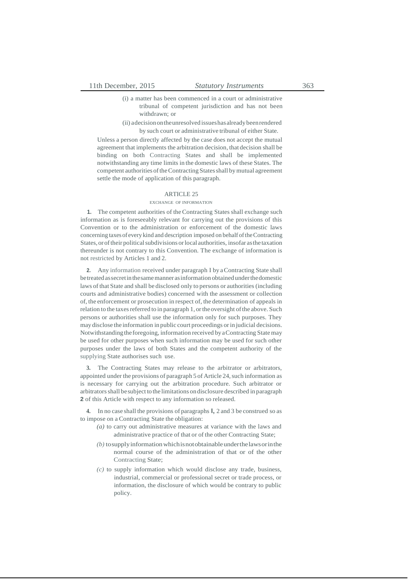- (i) a matter has been commenced in a court or administrative tribunal of competent jurisdiction and has not been withdrawn; or
- (ii) adecisionontheunresolved issueshasalreadybeenrendered by such court or administrative tribunal of either State.

Unless a person directly affected by the case does not accept the mutual agreement that implements the arbitration decision, that decision shall be binding on both Contracting States and shall be implemented notwithstanding any time limits in the domestic laws of these States. The competent authorities of the Contracting States shall by mutual agreement settle the mode of application of this paragraph.

# ARTICLE 25

## EXCHANGE OF INFORMATION

**1.** The competent authorities of the Contracting States shall exchange such information as is foreseeably relevant for carrying out the provisions of this Convention or to the administration or enforcement of the domestic laws concerning taxesofevery kind and description imposed on behalfoftheContracting States, or of their political subdivisions or local authorities, insofar as the taxation thereunder is not contrary to this Convention. The exchange of information is not restricted by Articles 1 and 2.

**2.** Any information received under paragraph I by aContracting State shall betreatedassecretinthesamemannerasinformation obtained underthedomestic laws of that State and shall be disclosed only to persons or authorities (including courts and administrative bodies) concerned with the assessment or collection of, the enforcement or prosecution in respect of, the determination of appeals in relation to the taxes referred to in paragraph 1, or the oversight of the above. Such persons or authorities shall use the information only for such purposes. They may disclose the information in public court proceedings or in judicial decisions. Notwithstanding the foregoing, information received by a Contracting State may be used for other purposes when such information may be used for such other purposes under the laws of both States and the competent authority of the supplying State authorises such use.

**3.** The Contracting States may release to the arbitrator or arbitrators, appointed under the provisions of paragraph 5 of Article 24, such information as is necessary for carrying out the arbitration procedure. Such arbitrator or arbitratorsshall besubject to the limitations ondisclosure described in paragraph **2** of this Article with respect to any information so released.

**4.** In no case shall the provisions of paragraphs **l,** 2 and 3 be construed so as to impose on a Contracting State the obligation:

- *(a)* to carry out administrative measures at variance with the laws and administrative practice of that or of the other Contracting State;
- $(b)$  to supply information which is not obtainable under the laws or in the normal course of the administration of that or of the other Contracting State;
- *(c)* to supply information which would disclose any trade, business, industrial, commercial or professional secret or trade process, or information, the disclosure of which would be contrary to public policy.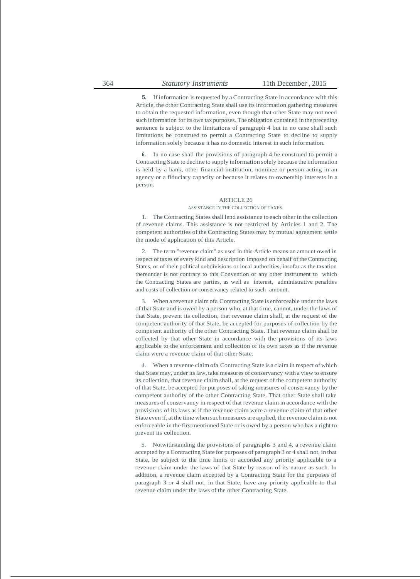**5.** If information is requested by a Contracting State in accordance with this Article, the other Contracting State shall use its information gathering measures to obtain the requested information, even though that other State may not need such information for its own tax purposes. The obligation contained in the preceding sentence is subject to the limitations of paragraph 4 but in no case shall such limitations be construed to permit a Contracting State to decline to supply information solely because it has no domestic interest in such information.

**6.** In no case shall the provisions of paragraph 4 be construed to permit a Contracting State to decline to supply information solely because the information is held by a bank, other financial institution, nominee or person acting in an agency or a fiduciary capacity or because it relates to ownership interests in a person.

#### ARTICLE 26

#### ASSISTANCE IN THE COLLECTION OF TAXES

1. TheContracting Statesshall lend assistance to each other in the collection of revenue claims. This assistance is not restricted by Articles 1 and 2. The competent authorities of the Contracting States may by mutual agreement settle the mode of application of this Article.

2. The term "revenue claim" as used in this Article means an amount owed in respect of taxes of every kind and description imposed on behalf of the Contracting States, or of their political subdivisions or local authorities, insofar as the taxation thereunder is not contrary to this Convention or any other instrument to which the Contracting States are parties, as well as interest, administrative penalties and costs of collection or conservancy related to such amount.

3. When a revenue claimofa Contracting State is enforceable under the laws of that State and is owed by a person who, at that time, cannot, under the laws of that State, prevent its collection, that revenue claim shall, at the request of the competent authority of that State, be accepted for purposes of collection by the competent authority of the other Contracting State. That revenue claim shall be collected by that other State in accordance with the provisions of its laws applicable to the enforcement and collection of its own taxes as if the revenue claim were a revenue claim of that other State.

4. When a revenue claim ofa Contracting State is a claim in respect of which that State may, under itslaw, take measures of conservancy with a view to ensure its collection, that revenue claim shall, at the request of the competent authority of that State, be accepted for purposes of taking measures of conservancy by the competent authority of the other Contracting State. That other State shall take measures of conservancy in respect of that revenue claim in accordance with the provisions of its laws as if the revenue claim were a revenue claim of that other State even if, at the time when such measures are applied, the revenue claim is not enforceable in the firstmentioned State or is owed by a person who has a right to prevent its collection.

5. Notwithstanding the provisions of paragraphs 3 and 4, a revenue claim accepted by a Contracting State for purposes of paragraph 3 or 4 shall not, in that State, be subject to the time limits or accorded any priority applicable to a revenue claim under the laws of that State by reason of its nature as such. In addition, a revenue claim accepted by a Contracting State for the purposes of paragraph 3 or 4 shall not, in that State, have any priority applicable to that revenue claim under the laws of the other Contracting State.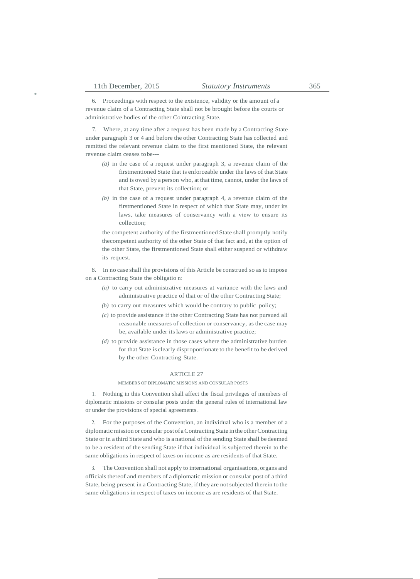•

6. Proceedings with respect to the existence, validity or the amount of a revenue claim of a Contracting State shall not be brought before the courts or administrative bodies of the other Co'ntracting State.

7. Where, at any time after a request has been made by a Contracting State under paragraph 3 or 4 and before the other Contracting State has collected and remitted the relevant revenue claim to the first mentioned State, the relevant revenue claim ceases tobe---

- *(a)* in the case of a request under paragraph 3, a revenue claim of the firstmentioned State that is enforceable under the laws of that State and is owed by a person who, at that time, cannot, under the laws of that State, prevent its collection; or
- *(b)* in the case of a request under paragraph 4, a revenue claim of the firstmentioned State in respect of which that State may, under its laws, take measures of conservancy with a view to ensure its collection;

the competent authority of the firstmentioned State shall promptly notify thecompetent authority of the other State of that fact and, at the option of the other State, the firstmentioned State shall either suspend or withdraw its request.

In no case shall the provisions of this Article be construed so as to impose on a Contracting State the obligatio n:

- *(a)* to carry out administrative measures at variance with the laws and administrative practice of that or of the other Contracting State;
- *(b)* to carry out measures which would be contrary to public policy;
- *(c)* to provide assistance if the other Contracting State has not pursued all reasonable measures of collection or conservancy, as the case may be, available under its laws or administrative practice;
- *(d)* to provide assistance in those cases where the administrative burden for that State is clearly disproportionate to the benefit to be derived by the other Contracting State.

#### ARTICLE 27

#### MEMBERS OF DIPLOMATIC MISSIONS AND CONSULAR POSTS

1. Nothing in this Convention shall affect the fiscal privileges of members of diplomatic missions or consular posts under the general rules of international law or under the provisions of special agreements.

2. For the purposes of the Convention, an individual who is a member of a diplomatic mission or consular post of aContracting State intheotherContracting State or in a third State and who is a national of the sending State shall be deemed to be a resident of the sending State if that individual is subjected therein to the same obligations in respect of taxes on income as are residents of that State.

3. The Convention shall not apply to international organisations, organs and officials thereof and members of a diplomatic mission or consular post of a third State, being present in a Contracting State, ifthey are notsubjected therein to the same obligation s in respect of taxes on income as are residents of that State.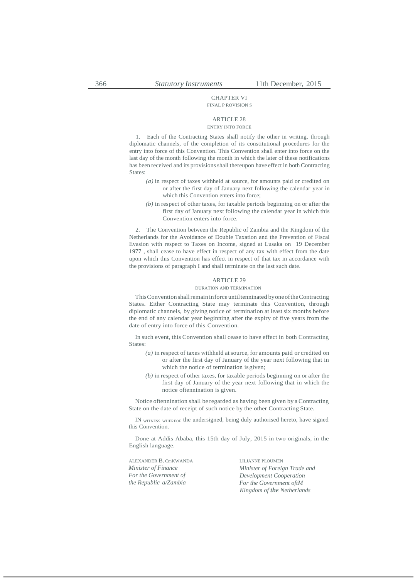#### CHAPTER VI FINAL P ROVISION S

#### ARTICLE 28 ENTRY INTO FORCE

1. Each of the Contracting States shall notify the other in writing, through diplomatic channels, of the completion of its constitutional procedures for the entry into force of this Convention. This Convention shall enter into force on the last day of the month following the month in which the later of these notifications has been received and its provisions shall thereupon have effect in both Contracting States:

- *(a)* in respect of taxes withheld at source, for amounts paid or credited on or after the first day of January next following the calendar year in which this Convention enters into force;
- *(b)* in respect of other taxes, for taxable periods beginning on or after the first day of January next following the calendar year in which this Convention enters into force.

2. The Convention between the Republic of Zambia and the Kingdom of the Netherlands for the Avoidance of Double Taxation and the Prevention of Fiscal Evasion with respect to Taxes on Income, signed at Lusaka on 19 December 1977 , shall cease to have effect in respect of any tax with effect from the date upon which this Convention has effect in respect of that tax in accordance with the provisions of paragraph I and shall terminate on the last such date.

## ARTICLE 29

#### DURATION AND TERMINATION

This Convention shall remain inforce until tenninated by one of the Contracting States. Either Contracting State may terminate this Convention, through diplomatic channels, by giving notice of termination at least six months before the end of any calendar year beginning after the expiry of five years from the date of entry into force of this Convention.

In such event, this Convention shall cease to have effect in both Contracting States:

- *(a)* in respect of taxes withheld atsource, for amounts paid or credited on or after the first day of January of the year next following that in which the notice of termination is given;
- *(b)* in respect of other taxes, for taxable periods beginning on or after the first day of January of the year next following that in which the notice oftennination is given.

Notice oftennination shall be regarded as having been given by a Contracting State on the date of receipt of such notice by the other Contracting State.

IN WITNESS WHEREOF the undersigned, being duly authorised hereto, have signed this Convention.

Done at Addis Ababa, this 15th day of July, 2015 in two originals, in the English language.

ALEXANDER B. CmKWANDA *Minister of Finance For the Government of the Republic a/Zambia*

LILJANNE PLOUMEN *Minister of Foreign Trade and Development Cooperation For the Government oftM Kingdom of the Netherlands*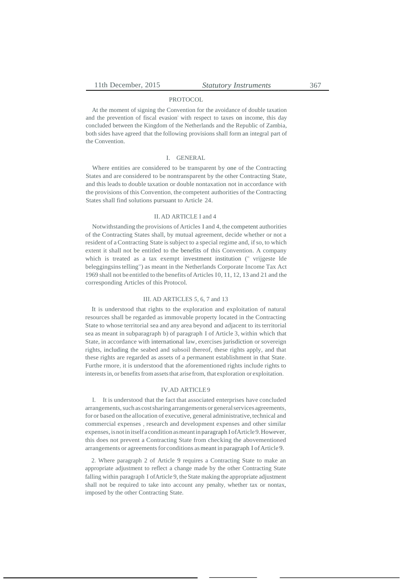#### PROTOCOL

At the moment of signing the Convention for the avoidance of double taxation and the prevention of fiscal evasion' with respect to taxes on income, this day concluded between the Kingdom of the Netherlands and the Republic of Zambia, both sides have agreed that the following provisions shall form an integral part of the Convention.

## I. GENERAL

Where entities are considered to be transparent by one of the Contracting States and are considered to be nontransparent by the other Contracting State, and this leads to double taxation or double nontaxation not in accordance with the provisions of this Convention, the competent authorities of the Contracting States shall find solutions pursuant to Article 24.

## II.AD ARTICLE I and 4

Notwithstanding the provisions of Articles I and 4, the competent authorities of the Contracting States shall, by mutual agreement, decide whether or not a resident of a Contracting State is subject to a special regime and, if so, to which extent it shall not be entitled to the benefits of this Convention. A company which is treated as a tax exempt investment institution (" vrijgeste lde beleggingsinstelling") as meant in the Netherlands Corporate Income Tax Act 1969 shall not be entitled to the benefits ofArticles I0, 11, 12, 13 and 21 and the corresponding Articles of this Protocol.

#### III. AD ARTICLES *5,* 6, 7 and 13

It is understood that rights to the exploration and exploitation of natural resources shall be regarded as immovable property located in the Contracting State to whose territorial sea and any area beyond and adjacent to its territorial sea as meant in subparagraph b) of paragraph I of Article 3, within which that State, in accordance with international law, exercises jurisdiction or sovereign rights, including the seabed and subsoil thereof, these rights apply, and that these rights are regarded as assets of a permanent establishment in that State. Furthe rmore, it is understood that the aforementioned rights include rights to interests in, or benefits from assets that arise from, that exploration or exploitation.

## IV.AD ARTICLE 9

I. It is understood that the fact that associated enterprises have concluded arrangements, such as cost sharing arrangements or general services agreements, for or based on the allocation of executive, general administrative, technical and commercial expenses , research and development expenses and other similar expenses, isnotin itselfacondition asmeantinparagraph I ofArticle9.However, this does not prevent a Contracting State from checking the abovementioned arrangements or agreements for conditions as meant in paragraph I of Article 9.

2. Where paragraph 2 of Article 9 requires a Contracting State to make an appropriate adjustment to reflect a change made by the other Contracting State falling within paragraph I ofArticle 9, the State making the appropriate adjustment shall not be required to take into account any penalty, whether tax or nontax, imposed by the other Contracting State.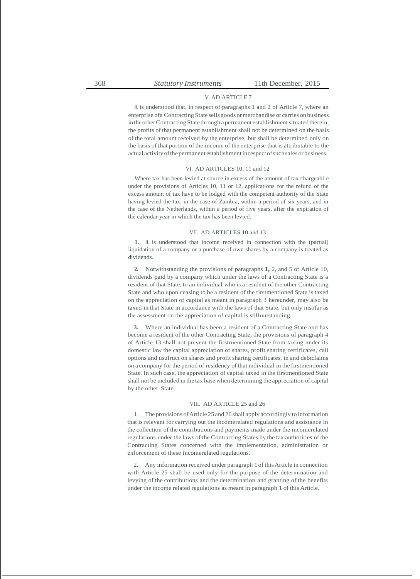It is understood that, in respect of paragraphs 1 and 2 of Article 7, where an enterprise ofa Contracting State sellsgoods ormerchandise or carries on business in the other Contracting State through a permanent establishment situated therein, the profits of that permanent establishment shall not be determined on the basis of the total amount received by the enterprise, but shall be determined only on the basis of that portion of the income of the enterprise that is attributable to the actual activityofthepermanent establishment inrespectofsuchsalesor business.

#### VI. AD ARTICLES 10, 11 and 12

Where tax has been levied at source in excess of the amount of tax chargeabl e under the provisions of Articles 10, 11 or 12, applications for the refund of the excess amount of tax have to be lodged with the competent authority of the State having levied the tax, in the case of Zambia, within a period of six years, and in the case of the Netherlands, within a period of five years, after the expiration of the calendar year in which the tax has been levied.

### VII. AD ARTICLES 10 and 13

**1.** It is understood that income received in connection with the (partial) liquidation of a company or a purchase of own shares by a company is treated as dividends.

**2.** Notwithstanding the provisions of paragraphs **1,** 2, and 5 of Article 10, dividends paid by a company which under the laws of a Contracting State is a resident of that State, to an individual who is a resident of the other Contracting State and who upon ceasing to be a resident of the firstmentioned State is taxed on the appreciation of capital as meant in paragraph 3 hereunder, may also be taxed in that State in accordance with the laws of that State, but only insofar as the assessment on the appreciation of capital is stilloutstanding.

**3.** Where an individual has been a resident of a Contracting State and has become a resident of the other Contracting State, the provisions of paragraph 4 of Article 13 shall not prevent the firstrnentioned State from taxing under its domestic law the capital appreciation of shares, profit sharing certificates, call options and usufruct on shares and profit sharing certificates, in and debtclaims on a company for the period of residency of that individual in the firstmentioned State. In such case, the appreciation of capital taxed in the firstmentioned State shall not be included in the tax base when determining the appreciation of capital by the other State.

#### VIII. AD ARTICLE 25 and 26

1. The provisions of Article 25 and 26 shall apply accordingly to information that is relevant for carrying out the incomerelated regulations and assistance in the collection of the contributions and payments made under the incomerelated regulations under the laws of the Contracting States by the tax authorities of the Contracting States concerned with the implementation, administration or enforcement of these incomerelated regulations.

2. Any information received under paragraph 1 of thisArticle in connection with Article 25 shall be used only for the purpose of the determination and levying of the contributions and the determination and granting of the benefits under the income related regulations as meant in paragraph 1 of this Article.